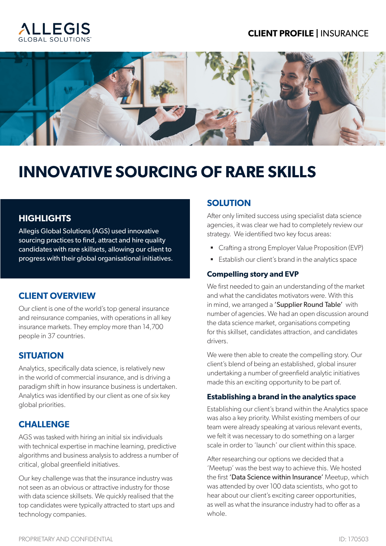#### **CLIENT PROFILE |** INSURANCE





# **INNOVATIVE SOURCING OF RARE SKILLS**

#### **HIGHLIGHTS**

Allegis Global Solutions (AGS) used innovative sourcing practices to find, attract and hire quality candidates with rare skillsets, allowing our client to progress with their global organisational initiatives.

#### **CLIENT OVERVIEW**

Our client is one of the world's top general insurance and reinsurance companies, with operations in all key insurance markets. They employ more than 14,700 people in 37 countries.

#### **SITUATION**

Analytics, specifically data science, is relatively new in the world of commercial insurance, and is driving a paradigm shift in how insurance business is undertaken. Analytics was identified by our client as one of six key global priorities.

#### **CHALLENGE**

AGS was tasked with hiring an initial six individuals with technical expertise in machine learning, predictive algorithms and business analysis to address a number of critical, global greenfield initiatives.

Our key challenge was that the insurance industry was not seen as an obvious or attractive industry for those with data science skillsets. We quickly realised that the top candidates were typically attracted to start ups and technology companies.

#### **SOLUTION**

After only limited success using specialist data science agencies, it was clear we had to completely review our strategy. We identified two key focus areas:

- Crafting a strong Employer Value Proposition (EVP)
- Establish our client's brand in the analytics space

#### **Compelling story and EVP**

We first needed to gain an understanding of the market and what the candidates motivators were. With this in mind, we arranged a **'Supplier Round Table'** with number of agencies. We had an open discussion around the data science market, organisations competing for this skillset, candidates attraction, and candidates drivers.

We were then able to create the compelling story. Our client's blend of being an established, global insurer undertaking a number of greenfield analytic initiatives made this an exciting opportunity to be part of.

#### **Establishing a brand in the analytics space**

Establishing our client's brand within the Analytics space was also a key priority. Whilst existing members of our team were already speaking at various relevant events, we felt it was necessary to do something on a larger scale in order to 'launch' our client within this space.

After researching our options we decided that a 'Meetup' was the best way to achieve this. We hosted the first 'Data Science within Insurance' Meetup, which was attended by over 100 data scientists, who got to hear about our client's exciting career opportunities, as well as what the insurance industry had to offer as a whole.